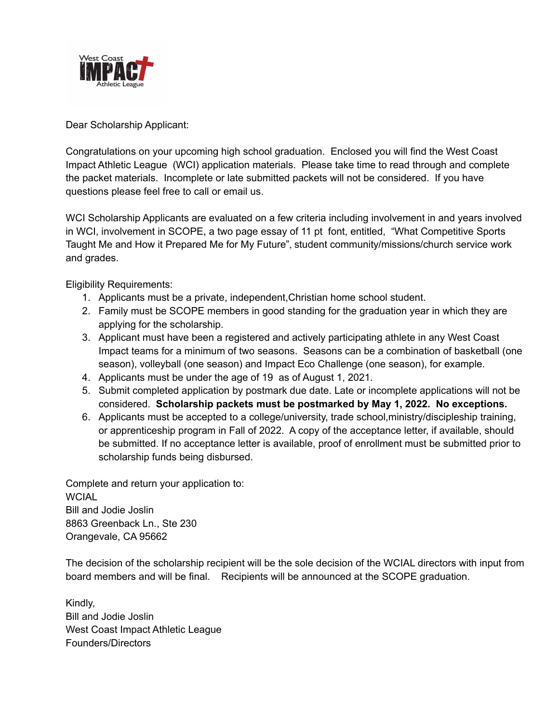

Dear Scholarship Applicant:

Congratulations on your upcoming high school graduation. Enclosed you will find the West Coast Impact Athletic League (WCI) application materials. Please take time to read through and complete the packet materials. Incomplete or late submitted packets will not be considered. If you have questions please feel free to call or email us.

WCI Scholarship Applicants are evaluated on a few criteria including involvement in and years involved in WCI, involvement in SCOPE, a two page essay of 11 pt font, entitled, "What Competitive Sports Taught Me and How it Prepared Me for My Future", student community/missions/church service work and grades.

Eligibility Requirements:

- 1. Applicants must be a private, independent,Christian home school student.
- 2. Family must be SCOPE members in good standing for the graduation year in which they are applying for the scholarship.
- 3. Applicant must have been a registered and actively participating athlete in any West Coast Impact teams for a minimum of two seasons. Seasons can be a combination of basketball (one season), volleyball (one season) and Impact Eco Challenge (one season), for example.
- 4. Applicants must be under the age of 19 as of August 1, 2021.
- 5. Submit completed application by postmark due date. Late or incomplete applications will not be considered. **Scholarship packets must be postmarked by May 1, 2022. No exceptions.**
- 6. Applicants must be accepted to a college/university, trade school,ministry/discipleship training, or apprenticeship program in Fall of 2022. A copy of the acceptance letter, if available, should be submitted. If no acceptance letter is available, proof of enrollment must be submitted prior to scholarship funds being disbursed.

Complete and return your application to: WCIAL Bill and Jodie Joslin 8863 Greenback Ln., Ste 230 Orangevale, CA 95662

The decision of the scholarship recipient will be the sole decision of the WCIAL directors with input from board members and will be final. Recipients will be announced at the SCOPE graduation.

Kindly, Bill and Jodie Joslin West Coast Impact Athletic League Founders/Directors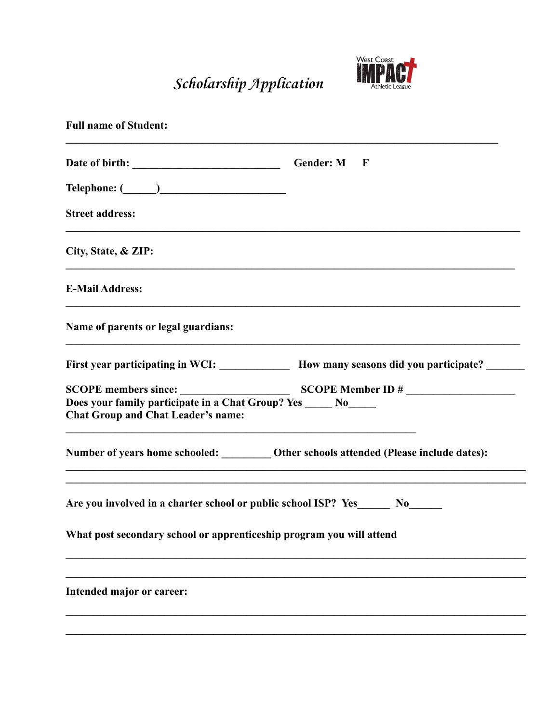Scholarship Application



| <b>Full name of Student:</b>                                                    |                                                                                            |
|---------------------------------------------------------------------------------|--------------------------------------------------------------------------------------------|
|                                                                                 | $\mathbb{R}$                                                                               |
|                                                                                 |                                                                                            |
| <b>Street address:</b>                                                          |                                                                                            |
| City, State, & ZIP:                                                             |                                                                                            |
| <b>E-Mail Address:</b>                                                          |                                                                                            |
| Name of parents or legal guardians:                                             |                                                                                            |
|                                                                                 | First year participating in WCI: _____________ How many seasons did you participate? _____ |
| <b>Chat Group and Chat Leader's name:</b>                                       |                                                                                            |
|                                                                                 | Number of years home schooled: __________ Other schools attended (Please include dates):   |
| Are you involved in a charter school or public school ISP? Yes_______ No_______ |                                                                                            |
| What post secondary school or apprenticeship program you will attend            |                                                                                            |
| Intended major or career:                                                       |                                                                                            |
|                                                                                 |                                                                                            |